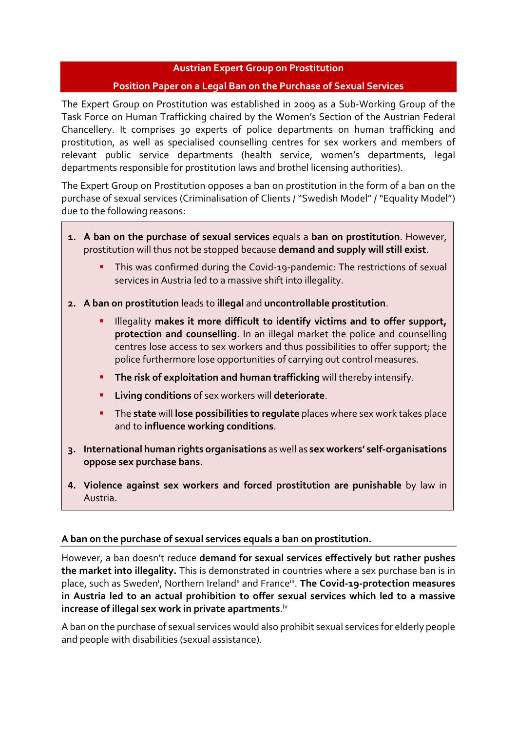## **Austrian Expert Group on Prostitution**

## **Position Paper on a Legal Ban on the Purchase of Sexual Services**

The Expert Group on Prostitution was established in 2009 as a Sub-Working Group of the Task Force on Human Trafficking chaired by the Women's Section of the Austrian Federal Chancellery. It comprises 30 experts of police departments on human trafficking and prostitution, as well as specialised counselling centres for sex workers and members of relevant public service departments (health service, women's departments, legal departments responsible for prostitution laws and brothel licensing authorities).

The Expert Group on Prostitution opposes a ban on prostitution in the form of a ban on the purchase of sexual services (Criminalisation of Clients / "Swedish Model" / "Equality Model") due to the following reasons:

- **1. A ban on the purchase of sexual services** equals a **ban on prostitution**. However, prostitution will thus not be stopped because **demand and supply will still exist**.
	- This was confirmed during the Covid-19-pandemic: The restrictions of sexual services in Austria led to a massive shift into illegality.
- **2. A ban on prostitution** leads to **illegal** and **uncontrollable prostitution**.
	- Illegality makes it more difficult to identify victims and to offer support, **protection and counselling**. In an illegal market the police and counselling centres lose access to sex workers and thus possibilities to offer support; the police furthermore lose opportunities of carrying out control measures.
	- **The risk of exploitation and human trafficking** will thereby intensify.
	- **Living conditions** of sex workers will **deteriorate**.
	- The **state** will **lose possibilities to regulate** places where sex work takes place and to **influence working conditions**.
- **3. International human rights organisations** as well as **sex workers' self-organisations oppose sex purchase bans**.
- **4. Violence against sex workers and forced prostitution are punishable** by law in Austria.

## **A ban on the purchase of sexual services equals a ban on prostitution.**

<span id="page-0-2"></span><span id="page-0-1"></span><span id="page-0-0"></span>However, a ban doesn't reduce **demand for sexual services effectively but rather pushes the market into illegality.** This is demonstrated in countries where a sex purchase ban is in place, such as Sweden<sup>[i](#page-1-0)</sup>, Northern Ireland<sup>[ii](#page-1-1)</sup> and France<sup>[iii](#page-1-2)</sup>. The Covid-19-protection measures **in Austria led to an actual prohibition to offer sexual services which led to a massive increase of illegal sex work in private apartments**. [iv](#page-1-3)

<span id="page-0-3"></span>A ban on the purchase of sexual services would also prohibit sexual services for elderly people and people with disabilities (sexual assistance).